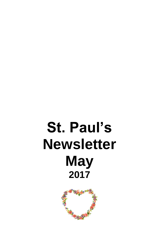# **St. Paul's Newsletter May 2017**

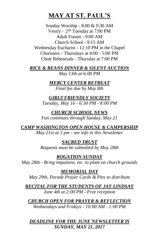# **MAY AT ST. PAUL'S**

Sunday Worship - 8:00 & 9:30 AM Vestry –  $2<sup>nd</sup>$  Tuesday at 7:00 PM Adult Forum - 9:00 AM Church School - 9:15 AM Wednesday Eucharist - 12:10 PM in the Chapel Choristers - Thursdays at 4:00 - 5:00 PM Choir Rehearsals - Thursday at 7:00 PM

*RICE & BEANS DINNER & SILENT AUCTION May 13th at 6:00 PM*

> *MERCY CENTER RETREAT Final fee due by May 8th*

*GIRLS'FRIENDLY SOCIETY Tuesday, May 16 - 6:30 PM - 8:00 PM*

*CHURCH SCHOOL NEWS Fun continues through Sunday, May 21*

*CAMP WASHINGTON OPEN HOUSE & CAMPERSHIP May 21st at 3 pm - see info in this Newsletter*

> *SACRED TRUST Requests must be submitted by May 28th*

*ROGATION SUNDAY May 28th - Bring impatiens, etc. to plant on church grounds*

*MEMORIAL DAY May 29th, Parade Prayer Cards & Pins to distribute*

*RECITAL FOR THE STUDENTS OF JAY LINDSAY June 4th at 2:00 PM - Free reception*

*CHURCH OPEN FOR PRAYER & REFLECTION Wednesdays and Fridays - 10:00 AM - 1:00 PM*

*DEADLINE FOR THE JUNE NEWSLETTER IS SUNDAY, MAY 21, 2017*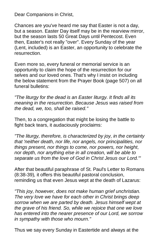Dear Companions in Christ,

Chances are you've heard me say that Easter is not a day, but a season. Easter Day itself may be in the rearview mirror, but the season lasts 50 Great Days until Pentecost. Even then, Easter's not really "over". Every Sunday of the year (Lent, included) is an Easter, an opportunity to celebrate the resurrection.

Even more so, every funeral or memorial service is an opportunity to claim the hope of the resurrection for our selves and our loved ones. That's why I insist on including the below statement from the Prayer Book (page 507) on all funeral bulletins:

*"The liturgy for the dead is an Easter liturgy. It finds all its meaning in the resurrection. Because Jesus was raised from the dead, we, too, shall be raised."*

Then, to a congregation that might be losing the battle to fight back tears, it audaciously proclaims:

*"The liturgy, therefore, is characterized by joy, in the certainty that 'neither death, nor life, nor angels, nor principalities, nor things present, nor things to come, nor powers, nor height, nor depth, nor anything else in all creation, will be able to separate us from the love of God in Christ Jesus our Lord.'"*

After that beautiful paraphrase of St. Paul's Letter to Romans (8:38-39)*,* it offers this beautiful pastoral conclusion, reminding us that even Jesus wept at the death of Lazarus:

*"This joy, however, does not make human grief unchristian. The very love we have for each other in Christ brings deep sorrow when we are parted by death. Jesus himself wept at the grave of his friend. So, while we rejoice that one we love has entered into the nearer presence of our Lord, we sorrow in sympathy with those who mourn."*

Thus we say every Sunday in Eastertide and always at the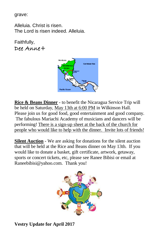grave:

Alleluia. Christ is risen. The Lord is risen indeed. Alleluia.

Faithfully, Dee Anne+



**Rice & Beans Dinner** - to benefit the Nicaragua Service Trip will be held on Saturday, May 13th at 6:00 PM in Wilkinson Hall. Please join us for good food, good entertainment and good company. The fabulous Mariachi Academy of musicians and dancers will be performing! There is a sign-up sheet at the back of the church for people who would like to help with the dinner. Invite lots of friends!

**Silent Auction** - We are asking for donations for the silent auction that will be held at the Rice and Beans dinner on May 13th. If you would like to donate a basket, gift certificate, artwork, getaway, sports or concert tickets, etc, please see Ranee Bibisi or email at Raneebibisi@yahoo.com. Thank you!



**Vestry Update for April 2017**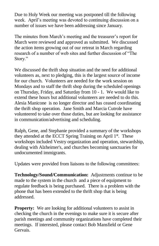Due to Holy Week our meeting was postponed till the following week. April's meeting was devoted to continuing discussion on a number of issues we have been addressing since January.

The minutes from March's meeting and the treasurer's report for March were reviewed and approved as submitted. We discussed the action items growing out of our retreat in March regarding research of a number of web sites and further discussion of "The Story."

We discussed the thrift shop situation and the need for additional volunteers as, next to pledging, this is the largest source of income for our church. Volunteers are needed for the work session on Mondays and to staff the thrift shop during the scheduled openings on Thursday, Friday, and Saturday from 10 - 1. We would like to extend these hours but additional volunteers are needed to do this. Alesia Manicone is no longer director and has ceased coordinating the thrift shop operation. Jane Smith and Marcia Cutrole have volunteered to take over those duties, but are looking for assistance in communication/advertising and scheduling.

Ralph, Gene, and Stephanie provided a summary of the workshops they attended at the ECCT Spring Training on April 1<sup>st</sup>. These workshops included Vestry organization and operation, stewardship, dealing with Alzheimer's, and churches becoming sanctuaries for undocumented immigrants.

Updates were provided from liaisons to the following committees:

**Technology/Sound/Communication:** Adjustments continue to be made to the system in the church and a piece of equipment to regulate feedback is being purchased. There is a problem with the phone that has been extended to the thrift shop that is being addressed.

**Property:** We are looking for additional volunteers to assist in checking the church in the evenings to make sure it is secure after parish meetings and community organizations have completed their meetings. If interested, please contact Bob Mansfield or Gene Gervais.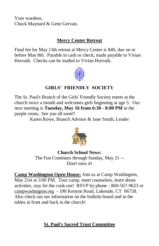Your wardens, Chuck Maynard & Gene Gervais

# **Mercy Center Retreat**

Final fee for May 13th retreat at Mercy Center is \$40, due on or before May 8th. Payable in cash or check, made payable to Vivian Horvath. Checks can be mailed to Vivian Horvath.



# **GIRLS' FRIENDLY SOCIETY**

The St. Paul's Branch of the Girls' Friendly Society meets at the church twice a month and welcomes girls beginning at age 5. Our next meeting is **Tuesday, May 16 from 6:30 - 8:00 PM** in the purple room**.** See you all soon!!

Karen Rowe, Branch Advisor & Jane Smith, Leader



#### **Church School News:** The Fun Continues through Sunday, May 21 -- Don't miss it!

**Camp Washington Open House:** Join us at Camp Washington, May 21st at 3:00 PM. Tour camp, meet counselors, learn about activities, stay for the cook-out! RSVP by phone - 860-567-9623 or campwashington.org - 190 Kenyon Road, Lakeside, CT 06758. Also check out our information on the bulletin board and in the tables at front and back in the church!

# **St. Paul's Sacred Trust Committee**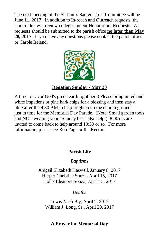The next meeting of the St. Paul's Sacred Trust Committee will be June 11, 2017. In addition to In-reach and Outreach requests, the Committee will review college student Honorarium Requests. All requests should be submitted to the parish office **no later than May 28, 2017**. If you have any questions please contact the parish office or Carole Ireland.



#### **Rogation Sunday - May 28**

A time to savor God's green earth right here! Please bring in red and white impatiens or pine bark chips for a blessing and then stay a little after the 9:30 AM to help brighten up the church grounds - just in time for the Memorial Day Parade. (Note: Small garden tools and NOT wearing your "Sunday best" also help!) 8:00'ers are invited to come back to help around 10:30 or so. For more information, please see Rob Page or the Rector.

#### **Parish Life**

*Baptisms*

Abigail Elizabeth Haswell, January 8, 2017 Harper Christine Souza, April 15, 2017 Hollis Eleanora Souza, April 15, 2017

*Deaths*

Lewis Nash Bly, April 2, 2017 William J. Long, Sr., April 20, 2017

#### **A Prayer for Memorial Day**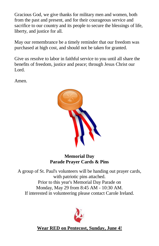Gracious God, we give thanks for military men and women, both from the past and present, and for their courageous service and sacrifice to our country and its people to secure the blessings of life, liberty, and justice for all.

May our remembrance be a timely reminder that our freedom was purchased at high cost, and should not be taken for granted.

Give us resolve to labor in faithful service to you until all share the benefits of freedom, justice and peace; through Jesus Christ our Lord.

Amen.



#### **Memorial Day Parade Prayer Cards & Pins**

A group of St. Paul's volunteers will be handing out prayer cards, with patriotic pins attached. Prior to this year's Memorial Day Parade on Monday, May 29 from 8:45 AM - 10:30 AM. If interested in volunteering please contact Carole Ireland.



**Wear RED on Pentecost, Sunday, June 4!**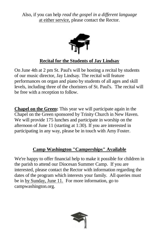Also, if you can help *read the gospel in a different language*  at either service, please contact the Rector.



# **Recital for the Students of Jay Lindsay**

On June 4th at 2 pm St. Paul's will be hosting a recital by students of our music director, Jay Lindsay. The recital will feature performances on organ and piano by students of all ages and skill levels, including three of the choristers of St. Paul's. The recital will be free with a reception to follow.

**Chapel on the Green:** This year we will participate again in the Chapel on the Green sponsored by Trinity Church in New Haven. We will provide 175 lunches and participate in worship on the afternoon of June 11 (starting at 1:30). If you are interested in participating in any way, please be in touch with Amy Foster.

# **Camp Washington "Camperships" Available**

We're happy to offer financial help to make it possible for children in the parish to attend our Diocesan Summer Camp. If you are interested, please contact the Rector with information regarding the dates of the program which interests your family. All queries must be in by Sunday, June 11. For more information, go to campwashington.org.

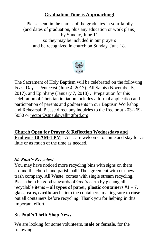# **Graduation Time is Approaching!**

Please send in the names of the graduates in your family (and dates of graduation, plus any education or work plans) by Sunday, June 11 so they may be included in our prayers and be recognized in church on Sunday, June 18.



The Sacrament of Holy Baptism will be celebrated on the following Feast Days: Pentecost (June 4, 2017), All Saints (November 5, 2017), and Epiphany (January 7, 2018) . Preparation for this celebration of Christian initiation includes a formal application and participation of parents and godparents in our Baptism Workshop and Rehearsal. Please direct any inquiries to the Rector at 203-269- 5050 or [rector@stpaulswallingford.org.](mailto:rector@stpaulswallingford.org)

**Church Open for Prayer & Reflection Wednesdays and Fridays - 10 AM-1 PM** - ALL are welcome to come and stay for as little or as much of the time as needed.

## *St. Paul's Recycles!*

You may have noticed more recycling bins with signs on them around the church and parish hall! The agreement with our new trash company, All Waste, comes with single stream recycling. Please help be good stewards of God's earth by placing all recyclable items – **all types of paper, plastic containers #1 – 7, glass, cans, cardboard** – into the containers, making sure to rinse out all containers before recycling. Thank you for helping in this important effort.

## **St. Paul's Thrift Shop News**

We are looking for some volunteers, **male or female**, for the following: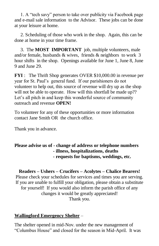1. A "tech savy" person to take over publicity via Facebook page and e-mail sale information to the Advisor. These jobs can be done at your leisure at home.

 2. Scheduling of those who work in the shop. Again, this can be done at home in your time frame.

 3. The **MOST IMPORTANT** job, multiple volunteers, male and/or female, husbands & wives, friends & neighbors to work 3 hour shifts in the shop. Openings available for June 1, June 8, June 9 and June 29.

**FYI** : The Thrift Shop generates OVER \$10,000.00 in revenue per year for St. Paul's general fund. If our parishioners do not volunteer to help out, this source of revenue will dry up as the shop will not be able to operate. How will this shortfall be made up?? Let's all pitch in and keep this wonderful source of community outreach and revenue **OPEN!**

To volunteer for any of these opportunities or more information contact Jane Smith OR the church office.

Thank you in advance.

#### **Please advise us of - change of address or telephone numbers - illness, hospitalizations, deaths - requests for baptisms, weddings, etc.**

**Readers – Ushers – Crucifers – Acolytes – Chalice Bearers!** Please check your schedules for services and times you are serving. If you are unable to fulfill your obligation, please obtain a substitute for yourself! If you would also inform the parish office of any changes it would be greatly appreciated! Thank you.

#### **Wallingford Emergency Shelter** –

The shelter opened in mid-Nov. under the new management of "Columbus House" and closed for the season in Mid-April. It was